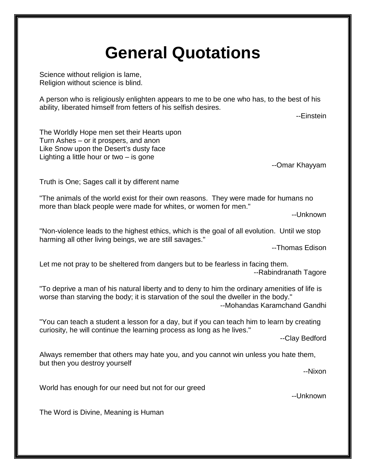## **General Quotations**

Science without religion is lame, Religion without science is blind.

A person who is religiously enlighten appears to me to be one who has, to the best of his ability, liberated himself from fetters of his selfish desires.

--Einstein

The Worldly Hope men set their Hearts upon Turn Ashes – or it prospers, and anon Like Snow upon the Desert's dusty face Lighting a little hour or two – is gone

--Omar Khayyam

Truth is One; Sages call it by different name

"The animals of the world exist for their own reasons. They were made for humans no more than black people were made for whites, or women for men."

--Unknown

"Non-violence leads to the highest ethics, which is the goal of all evolution. Until we stop harming all other living beings, we are still savages."

--Thomas Edison

Let me not pray to be sheltered from dangers but to be fearless in facing them. --Rabindranath Tagore

"To deprive a man of his natural liberty and to deny to him the ordinary amenities of life is worse than starving the body; it is starvation of the soul the dweller in the body." --Mohandas Karamchand Gandhi

"You can teach a student a lesson for a day, but if you can teach him to learn by creating curiosity, he will continue the learning process as long as he lives."

--Clay Bedford

Always remember that others may hate you, and you cannot win unless you hate them, but then you destroy yourself

--Nixon

World has enough for our need but not for our greed

--Unknown

The Word is Divine, Meaning is Human